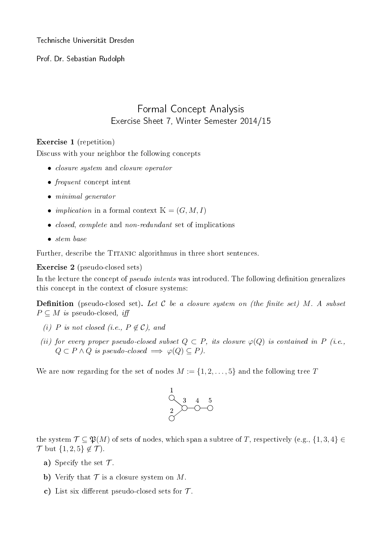Technische Universität Dresden

Prof. Dr. Sebastian Rudolph

## Formal Concept Analysis Exercise Sheet 7, Winter Semester 2014/15

## Exercise 1 (repetition)

Discuss with your neighbor the following concepts

- closure system and closure operator
- frequent concept intent
- minimal generator
- *implication* in a formal context  $\mathbb{K} = (G, M, I)$
- *closed, complete* and *non-redundant* set of implications
- stem base

Further, describe the TITANIC algorithmus in three short sentences.

Exercise 2 (pseudo-closed sets)

In the lecture the concept of *pseudo intents* was introduced. The following definition generalizes this concept in the context of closure systems:

**Definition** (pseudo-closed set). Let C be a closure system on (the finite set) M. A subset  $P \subseteq M$  is pseudo-closed, iff

- (i) P is not closed (i.e.,  $P \notin \mathcal{C}$ ), and
- (ii) for every proper pseudo-closed subset  $Q \subset P$ , its closure  $\varphi(Q)$  is contained in P (i.e.,  $Q \subset P \wedge Q$  is pseudo-closed  $\implies \varphi(Q) \subseteq P$ ).

We are now regarding for the set of nodes  $M := \{1, 2, \ldots, 5\}$  and the following tree T



the system  $\mathcal{T} \subseteq \mathfrak{P}(M)$  of sets of nodes, which span a subtree of T, respectively (e.g.,  $\{1,3,4\} \in$  $\mathcal{T}$  but  $\{1,2,5\} \notin \mathcal{T}$ ).

- a) Specify the set  $\mathcal{T}$ .
- b) Verify that  $\mathcal T$  is a closure system on M.
- c) List six different pseudo-closed sets for  $\mathcal{T}$ .